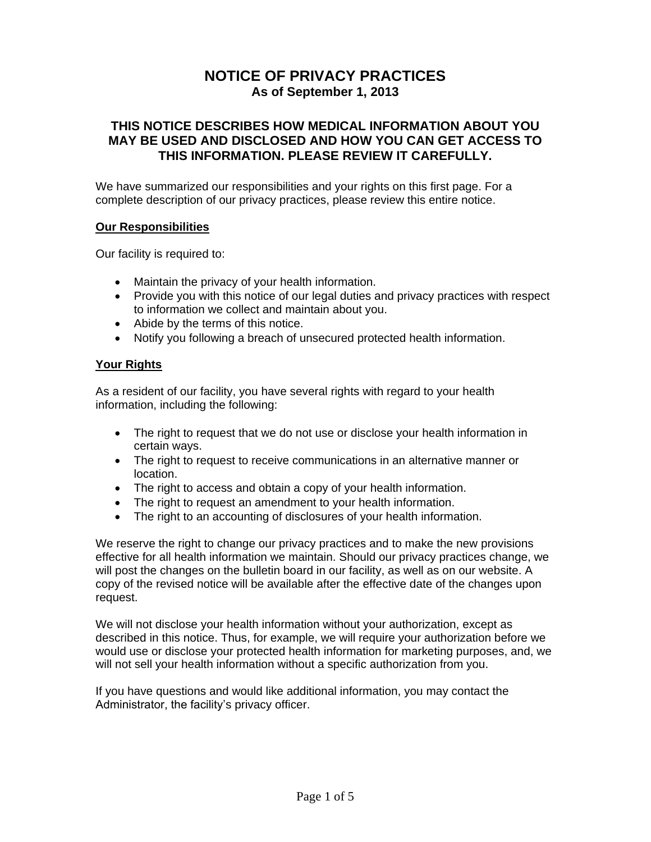# **NOTICE OF PRIVACY PRACTICES As of September 1, 2013**

## **THIS NOTICE DESCRIBES HOW MEDICAL INFORMATION ABOUT YOU MAY BE USED AND DISCLOSED AND HOW YOU CAN GET ACCESS TO THIS INFORMATION. PLEASE REVIEW IT CAREFULLY.**

We have summarized our responsibilities and your rights on this first page. For a complete description of our privacy practices, please review this entire notice.

#### **Our Responsibilities**

Our facility is required to:

- Maintain the privacy of your health information.
- Provide you with this notice of our legal duties and privacy practices with respect to information we collect and maintain about you.
- Abide by the terms of this notice.
- Notify you following a breach of unsecured protected health information.

### **Your Rights**

As a resident of our facility, you have several rights with regard to your health information, including the following:

- The right to request that we do not use or disclose your health information in certain ways.
- The right to request to receive communications in an alternative manner or location.
- The right to access and obtain a copy of your health information.
- The right to request an amendment to your health information.
- The right to an accounting of disclosures of your health information.

We reserve the right to change our privacy practices and to make the new provisions effective for all health information we maintain. Should our privacy practices change, we will post the changes on the bulletin board in our facility, as well as on our website. A copy of the revised notice will be available after the effective date of the changes upon request.

We will not disclose your health information without your authorization, except as described in this notice. Thus, for example, we will require your authorization before we would use or disclose your protected health information for marketing purposes, and, we will not sell your health information without a specific authorization from you.

If you have questions and would like additional information, you may contact the Administrator, the facility's privacy officer.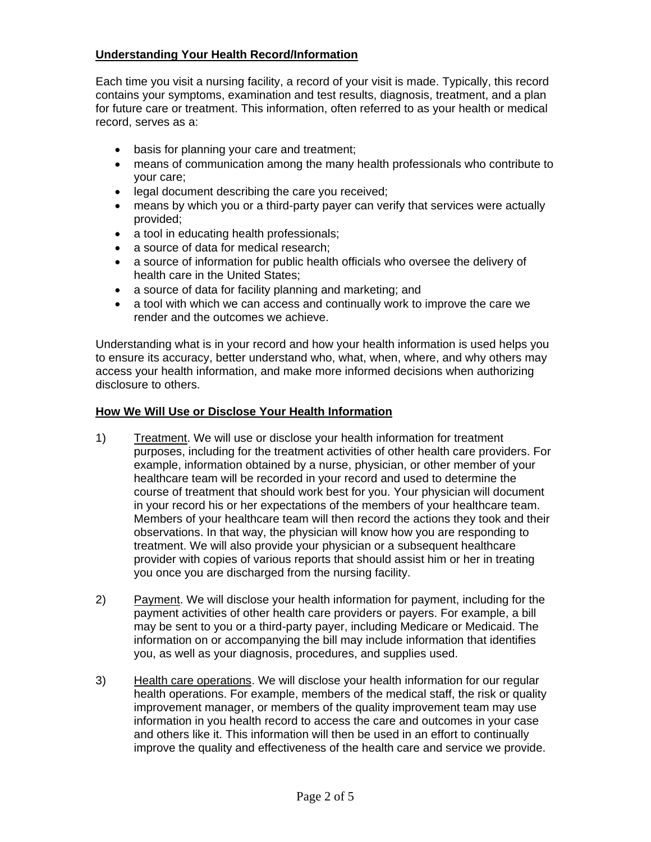## **Understanding Your Health Record/Information**

Each time you visit a nursing facility, a record of your visit is made. Typically, this record contains your symptoms, examination and test results, diagnosis, treatment, and a plan for future care or treatment. This information, often referred to as your health or medical record, serves as a:

- basis for planning your care and treatment;
- means of communication among the many health professionals who contribute to your care;
- **.** legal document describing the care you received;
- means by which you or a third-party payer can verify that services were actually provided;
- a tool in educating health professionals;
- a source of data for medical research;
- a source of information for public health officials who oversee the delivery of health care in the United States;
- a source of data for facility planning and marketing; and
- a tool with which we can access and continually work to improve the care we render and the outcomes we achieve.

Understanding what is in your record and how your health information is used helps you to ensure its accuracy, better understand who, what, when, where, and why others may access your health information, and make more informed decisions when authorizing disclosure to others.

### **How We Will Use or Disclose Your Health Information**

- 1) Treatment. We will use or disclose your health information for treatment purposes, including for the treatment activities of other health care providers. For example, information obtained by a nurse, physician, or other member of your healthcare team will be recorded in your record and used to determine the course of treatment that should work best for you. Your physician will document in your record his or her expectations of the members of your healthcare team. Members of your healthcare team will then record the actions they took and their observations. In that way, the physician will know how you are responding to treatment. We will also provide your physician or a subsequent healthcare provider with copies of various reports that should assist him or her in treating you once you are discharged from the nursing facility.
- 2) Payment. We will disclose your health information for payment, including for the payment activities of other health care providers or payers. For example, a bill may be sent to you or a third-party payer, including Medicare or Medicaid. The information on or accompanying the bill may include information that identifies you, as well as your diagnosis, procedures, and supplies used.
- 3) Health care operations. We will disclose your health information for our regular health operations. For example, members of the medical staff, the risk or quality improvement manager, or members of the quality improvement team may use information in you health record to access the care and outcomes in your case and others like it. This information will then be used in an effort to continually improve the quality and effectiveness of the health care and service we provide.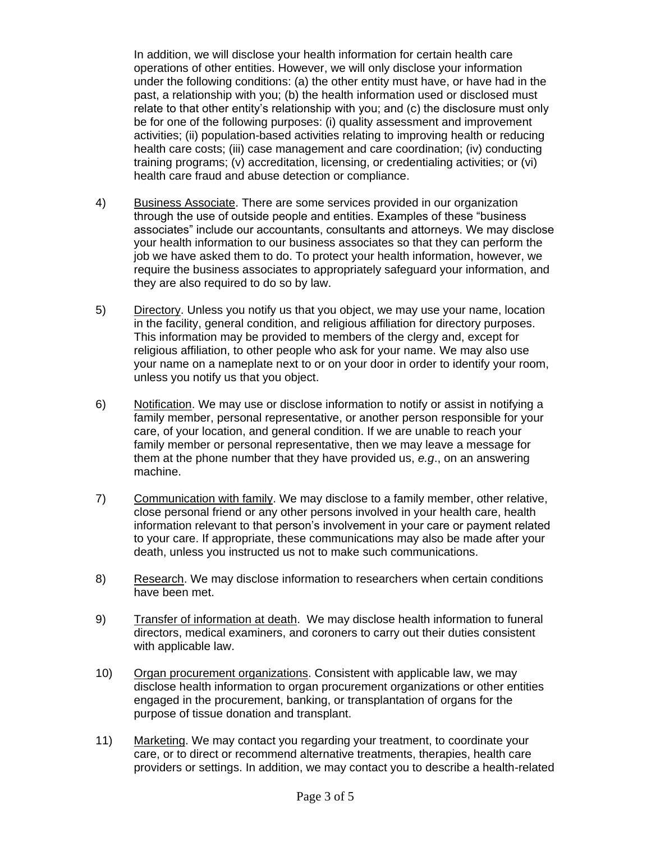In addition, we will disclose your health information for certain health care operations of other entities. However, we will only disclose your information under the following conditions: (a) the other entity must have, or have had in the past, a relationship with you; (b) the health information used or disclosed must relate to that other entity's relationship with you; and (c) the disclosure must only be for one of the following purposes: (i) quality assessment and improvement activities; (ii) population-based activities relating to improving health or reducing health care costs; (iii) case management and care coordination; (iv) conducting training programs; (v) accreditation, licensing, or credentialing activities; or (vi) health care fraud and abuse detection or compliance.

- 4) Business Associate. There are some services provided in our organization through the use of outside people and entities. Examples of these "business associates" include our accountants, consultants and attorneys. We may disclose your health information to our business associates so that they can perform the job we have asked them to do. To protect your health information, however, we require the business associates to appropriately safeguard your information, and they are also required to do so by law.
- 5) Directory. Unless you notify us that you object, we may use your name, location in the facility, general condition, and religious affiliation for directory purposes. This information may be provided to members of the clergy and, except for religious affiliation, to other people who ask for your name. We may also use your name on a nameplate next to or on your door in order to identify your room, unless you notify us that you object.
- 6) Notification. We may use or disclose information to notify or assist in notifying a family member, personal representative, or another person responsible for your care, of your location, and general condition. If we are unable to reach your family member or personal representative, then we may leave a message for them at the phone number that they have provided us, *e.g*., on an answering machine.
- 7) Communication with family. We may disclose to a family member, other relative, close personal friend or any other persons involved in your health care, health information relevant to that person's involvement in your care or payment related to your care. If appropriate, these communications may also be made after your death, unless you instructed us not to make such communications.
- 8) Research. We may disclose information to researchers when certain conditions have been met.
- 9) Transfer of information at death. We may disclose health information to funeral directors, medical examiners, and coroners to carry out their duties consistent with applicable law.
- 10) Organ procurement organizations. Consistent with applicable law, we may disclose health information to organ procurement organizations or other entities engaged in the procurement, banking, or transplantation of organs for the purpose of tissue donation and transplant.
- 11) Marketing. We may contact you regarding your treatment, to coordinate your care, or to direct or recommend alternative treatments, therapies, health care providers or settings. In addition, we may contact you to describe a health-related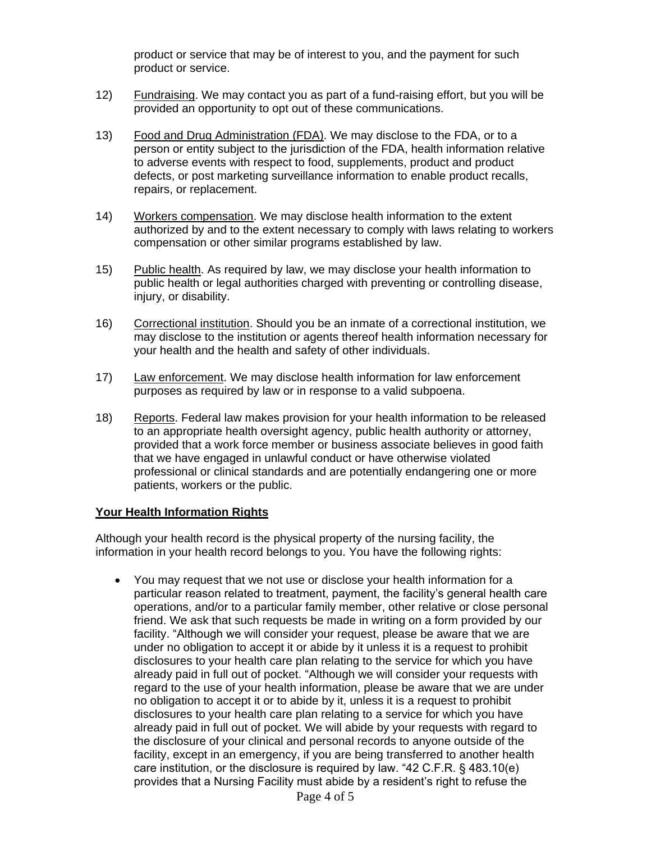product or service that may be of interest to you, and the payment for such product or service.

- 12) Fundraising. We may contact you as part of a fund-raising effort, but you will be provided an opportunity to opt out of these communications.
- 13) Food and Drug Administration (FDA). We may disclose to the FDA, or to a person or entity subject to the jurisdiction of the FDA, health information relative to adverse events with respect to food, supplements, product and product defects, or post marketing surveillance information to enable product recalls, repairs, or replacement.
- 14) Workers compensation. We may disclose health information to the extent authorized by and to the extent necessary to comply with laws relating to workers compensation or other similar programs established by law.
- 15) Public health. As required by law, we may disclose your health information to public health or legal authorities charged with preventing or controlling disease, injury, or disability.
- 16) Correctional institution. Should you be an inmate of a correctional institution, we may disclose to the institution or agents thereof health information necessary for your health and the health and safety of other individuals.
- 17) Law enforcement. We may disclose health information for law enforcement purposes as required by law or in response to a valid subpoena.
- 18) Reports. Federal law makes provision for your health information to be released to an appropriate health oversight agency, public health authority or attorney, provided that a work force member or business associate believes in good faith that we have engaged in unlawful conduct or have otherwise violated professional or clinical standards and are potentially endangering one or more patients, workers or the public.

### **Your Health Information Rights**

Although your health record is the physical property of the nursing facility, the information in your health record belongs to you. You have the following rights:

 You may request that we not use or disclose your health information for a particular reason related to treatment, payment, the facility's general health care operations, and/or to a particular family member, other relative or close personal friend. We ask that such requests be made in writing on a form provided by our facility. "Although we will consider your request, please be aware that we are under no obligation to accept it or abide by it unless it is a request to prohibit disclosures to your health care plan relating to the service for which you have already paid in full out of pocket. "Although we will consider your requests with regard to the use of your health information, please be aware that we are under no obligation to accept it or to abide by it, unless it is a request to prohibit disclosures to your health care plan relating to a service for which you have already paid in full out of pocket. We will abide by your requests with regard to the disclosure of your clinical and personal records to anyone outside of the facility, except in an emergency, if you are being transferred to another health care institution, or the disclosure is required by law. "42 C.F.R. § 483.10(e) provides that a Nursing Facility must abide by a resident's right to refuse the